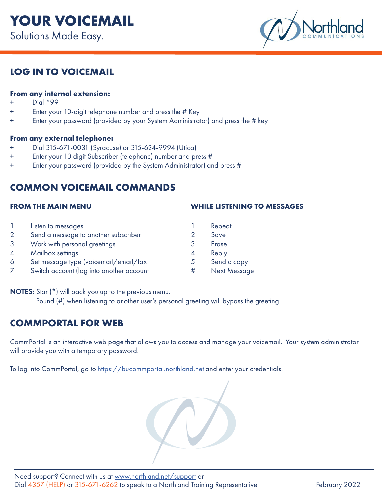

## **LOG IN TO VOICEMAIL**

## **From any internal extension:**

- Dial \*99
- Enter your 10-digit telephone number and press the # Key
- + Enter your password (provided by your System Administrator) and press the # key

#### **From any external telephone:**

- + Dial 315-671-0031 (Syracuse) or 315-624-9994 (Utica)
- + Enter your 10 digit Subscriber (telephone) number and press #
- + Enter your password (provided by the System Administrator) and press #

## **COMMON VOICEMAIL COMMANDS**

### **FROM THE MAIN MENU**

|   | Listen to messages                       |   | Repeat              |
|---|------------------------------------------|---|---------------------|
| 2 | Send a message to another subscriber     |   | Save                |
| 3 | Work with personal greetings             | 3 | Erase               |
| 4 | Mailbox settings                         | 4 | Reply               |
| 6 | Set message type (voicemail/email/fax    | 5 | Send a copy         |
|   | Switch account (log into another account |   | <b>Next Message</b> |

NOTES: Star (\*) will back you up to the previous menu.

Pound (#) when listening to another user's personal greeting will bypass the greeting.

# **COMMPORTAL FOR WEB**

CommPortal is an interactive web page that allows you to access and manage your voicemail. Your system administrator will provide you with a temporary password.

**WHILE LISTENING TO MESSAGES**

To log into CommPortal, go to <https://bucommportal.northland.net>and enter your credentials.